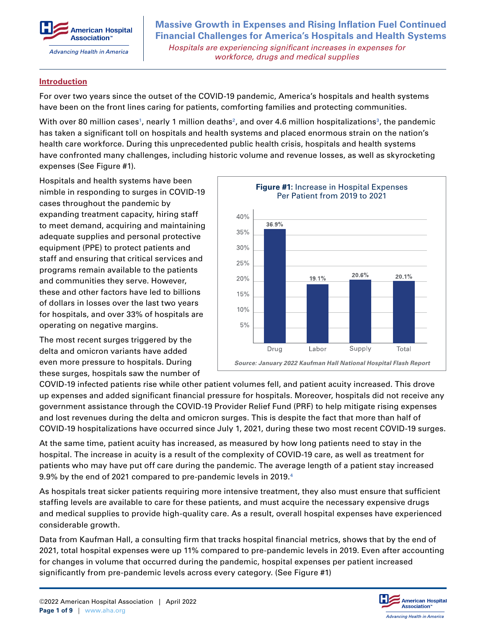

**Massive Growth in Expenses and Rising Inflation Fuel Continued Financial Challenges for America's Hospitals and Health Systems**  *Hospitals are experiencing significant increases in expenses for workforce, drugs and medical supplies*

#### **Introduction**

For over two years since the outset of the COVID-19 pandemic, America's hospitals and health systems have been on the front lines caring for patients, comforting families and protecting communities.

With over 80 million cases<sup>1</sup>, nearly 1 million deaths<sup>2</sup>, and over 4.6 million hospitalizations<sup>3</sup>, the pandemic has taken a significant toll on hospitals and health systems and placed enormous strain on the nation's health care workforce. During this unprecedented public health crisis, hospitals and health systems have confronted many challenges, including historic volume and revenue losses, as well as skyrocketing expenses (See Figure #1).

Hospitals and health systems have been nimble in responding to surges in COVID-19 cases throughout the pandemic by expanding treatment capacity, hiring staff to meet demand, acquiring and maintaining adequate supplies and personal protective equipment (PPE) to protect patients and staff and ensuring that critical services and programs remain available to the patients and communities they serve. However, these and other factors have led to billions of dollars in losses over the last two years for hospitals, and over 33% of hospitals are operating on negative margins.

The most recent surges triggered by the delta and omicron variants have added even more pressure to hospitals. During these surges, hospitals saw the number of



COVID-19 infected patients rise while other patient volumes fell, and patient acuity increased. This drove up expenses and added significant financial pressure for hospitals. Moreover, hospitals did not receive any government assistance through the COVID-19 Provider Relief Fund (PRF) to help mitigate rising expenses and lost revenues during the delta and omicron surges. This is despite the fact that more than half of COVID-19 hospitalizations have occurred since July 1, 2021, during these two most recent COVID-19 surges.

At the same time, patient acuity has increased, as measured by how long patients need to stay in the hospital. The increase in acuity is a result of the complexity of COVID-19 care, as well as treatment for patients who may have put off care during the pandemic. The average length of a patient stay increased 9.9% by the end of 2021 compared to pre-pandemic levels in 2019.**<sup>4</sup>**

As hospitals treat sicker patients requiring more intensive treatment, they also must ensure that sufficient staffing levels are available to care for these patients, and must acquire the necessary expensive drugs and medical supplies to provide high-quality care. As a result, overall hospital expenses have experienced considerable growth.

Data from Kaufman Hall, a consulting firm that tracks hospital financial metrics, shows that by the end of 2021, total hospital expenses were up 11% compared to pre-pandemic levels in 2019. Even after accounting for changes in volume that occurred during the pandemic, hospital expenses per patient increased significantly from pre-pandemic levels across every category. (See Figure #1)

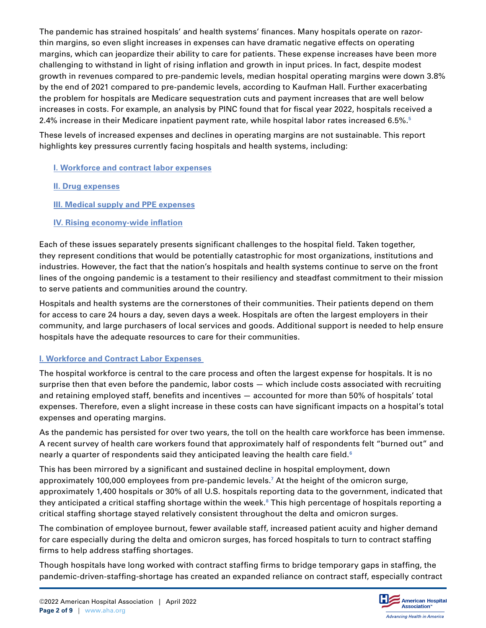The pandemic has strained hospitals' and health systems' finances. Many hospitals operate on razorthin margins, so even slight increases in expenses can have dramatic negative effects on operating margins, which can jeopardize their ability to care for patients. These expense increases have been more challenging to withstand in light of rising inflation and growth in input prices. In fact, despite modest growth in revenues compared to pre-pandemic levels, median hospital operating margins were down 3.8% by the end of 2021 compared to pre-pandemic levels, according to Kaufman Hall. Further exacerbating the problem for hospitals are Medicare sequestration cuts and payment increases that are well below increases in costs. For example, an analysis by PINC found that for fiscal year 2022, hospitals received a 2.4% increase in their Medicare inpatient payment rate, while hospital labor rates increased 6.5%.**<sup>5</sup>**

These levels of increased expenses and declines in operating margins are not sustainable. This report highlights key pressures currently facing hospitals and health systems, including:

- **I. Workforce and contract labor expenses**
- **[II. Drug expenses](#page-3-0)**
- **[III. Medical supply and PPE expenses](#page-5-0)**
- **[IV. Rising economy-wide inflation](#page-6-0)**

Each of these issues separately presents significant challenges to the hospital field. Taken together, they represent conditions that would be potentially catastrophic for most organizations, institutions and industries. However, the fact that the nation's hospitals and health systems continue to serve on the front lines of the ongoing pandemic is a testament to their resiliency and steadfast commitment to their mission to serve patients and communities around the country.

Hospitals and health systems are the cornerstones of their communities. Their patients depend on them for access to care 24 hours a day, seven days a week. Hospitals are often the largest employers in their community, and large purchasers of local services and goods. Additional support is needed to help ensure hospitals have the adequate resources to care for their communities.

# **I. Workforce and Contract Labor Expenses**

The hospital workforce is central to the care process and often the largest expense for hospitals. It is no surprise then that even before the pandemic, labor costs — which include costs associated with recruiting and retaining employed staff, benefits and incentives — accounted for more than 50% of hospitals' total expenses. Therefore, even a slight increase in these costs can have significant impacts on a hospital's total expenses and operating margins.

As the pandemic has persisted for over two years, the toll on the health care workforce has been immense. A recent survey of health care workers found that approximately half of respondents felt "burned out" and nearly a quarter of respondents said they anticipated leaving the health care field.**<sup>6</sup>**

This has been mirrored by a significant and sustained decline in hospital employment, down approximately 100,000 employees from pre-pandemic levels.**<sup>7</sup>** At the height of the omicron surge, approximately 1,400 hospitals or 30% of all U.S. hospitals reporting data to the government, indicated that they anticipated a critical staffing shortage within the week.**<sup>8</sup>** This high percentage of hospitals reporting a critical staffing shortage stayed relatively consistent throughout the delta and omicron surges.

The combination of employee burnout, fewer available staff, increased patient acuity and higher demand for care especially during the delta and omicron surges, has forced hospitals to turn to contract staffing firms to help address staffing shortages.

Though hospitals have long worked with contract staffing firms to bridge temporary gaps in staffing, the pandemic-driven-staffing-shortage has created an expanded reliance on contract staff, especially contract

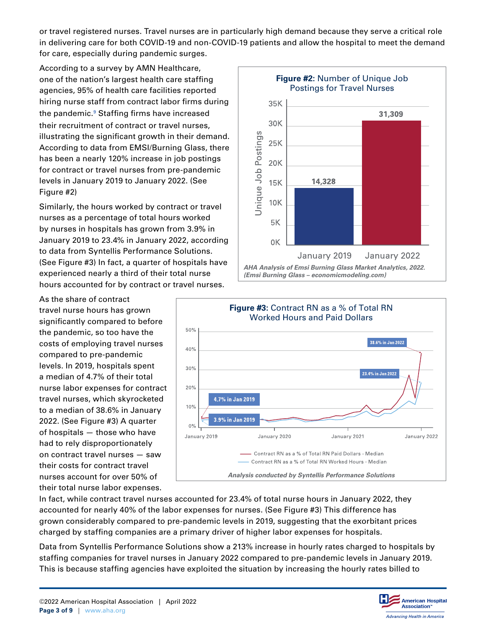or travel registered nurses. Travel nurses are in particularly high demand because they serve a critical role in delivering care for both COVID-19 and non-COVID-19 patients and allow the hospital to meet the demand for care, especially during pandemic surges.

According to a survey by AMN Healthcare, one of the nation's largest health care staffing agencies, 95% of health care facilities reported hiring nurse staff from contract labor firms during the pandemic.**<sup>9</sup>** Staffing firms have increased their recruitment of contract or travel nurses, illustrating the significant growth in their demand. According to data from EMSI/Burning Glass, there has been a nearly 120% increase in job postings for contract or travel nurses from pre-pandemic levels in January 2019 to January 2022. (See Figure #2)

Similarly, the hours worked by contract or travel nurses as a percentage of total hours worked by nurses in hospitals has grown from 3.9% in January 2019 to 23.4% in January 2022, according to data from Syntellis Performance Solutions. (See Figure #3) In fact, a quarter of hospitals have experienced nearly a third of their total nurse hours accounted for by contract or travel nurses.

As the share of contract travel nurse hours has grown significantly compared to before the pandemic, so too have the costs of employing travel nurses compared to pre-pandemic levels. In 2019, hospitals spent a median of 4.7% of their total nurse labor expenses for contract travel nurses, which skyrocketed to a median of 38.6% in January 2022. (See Figure #3) A quarter of hospitals — those who have had to rely disproportionately on contract travel nurses — saw their costs for contract travel nurses account for over 50% of their total nurse labor expenses.





In fact, while contract travel nurses accounted for 23.4% of total nurse hours in January 2022, they accounted for nearly 40% of the labor expenses for nurses. (See Figure #3) This difference has grown considerably compared to pre-pandemic levels in 2019, suggesting that the exorbitant prices charged by staffing companies are a primary driver of higher labor expenses for hospitals.

Data from Syntellis Performance Solutions show a 213% increase in hourly rates charged to hospitals by staffing companies for travel nurses in January 2022 compared to pre-pandemic levels in January 2019. This is because staffing agencies have exploited the situation by increasing the hourly rates billed to

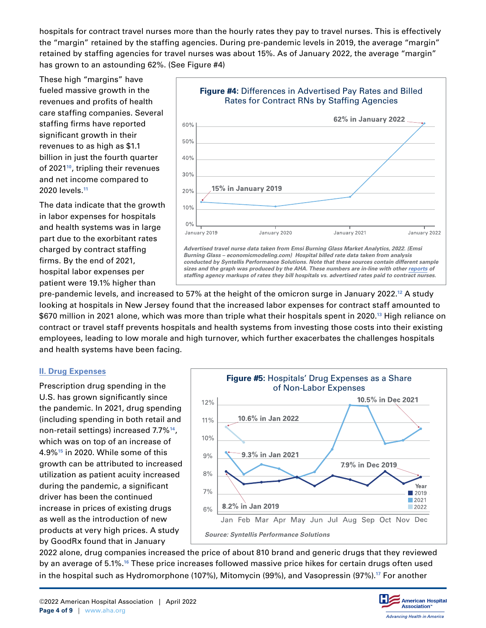<span id="page-3-0"></span>hospitals for contract travel nurses more than the hourly rates they pay to travel nurses. This is effectively the "margin" retained by the staffing agencies. During pre-pandemic levels in 2019, the average "margin" retained by staffing agencies for travel nurses was about 15%. As of January 2022, the average "margin" has grown to an astounding 62%. (See Figure #4)

These high "margins" have fueled massive growth in the revenues and profits of health care staffing companies. Several staffing firms have reported significant growth in their revenues to as high as \$1.1 billion in just the fourth quarter of 2021**<sup>10</sup>**, tripling their revenues and net income compared to 2020 levels.**<sup>11</sup>**

The data indicate that the growth in labor expenses for hospitals and health systems was in large part due to the exorbitant rates charged by contract staffing firms. By the end of 2021, hospital labor expenses per patient were 19.1% higher than



pre-pandemic levels, and increased to 57% at the height of the omicron surge in January 2022.**<sup>12</sup>** A study looking at hospitals in New Jersey found that the increased labor expenses for contract staff amounted to \$670 million in 2021 alone, which was more than triple what their hospitals spent in 2020.**<sup>13</sup>** High reliance on contract or travel staff prevents hospitals and health systems from investing those costs into their existing employees, leading to low morale and high turnover, which further exacerbates the challenges hospitals and health systems have been facing.

### **II. Drug Expenses**

Prescription drug spending in the U.S. has grown significantly since the pandemic. In 2021, drug spending (including spending in both retail and non-retail settings) increased 7.7%**<sup>14</sup>**, which was on top of an increase of 4.9%**<sup>15</sup>** in 2020. While some of this growth can be attributed to increased utilization as patient acuity increased during the pandemic, a significant driver has been the continued increase in prices of existing drugs as well as the introduction of new products at very high prices. A study by GoodRx found that in January



2022 alone, drug companies increased the price of about 810 brand and generic drugs that they reviewed by an average of 5.1%.**<sup>16</sup>** These price increases followed massive price hikes for certain drugs often used in the hospital such as Hydromorphone (107%), Mitomycin (99%), and Vasopressin (97%).**<sup>17</sup>** For another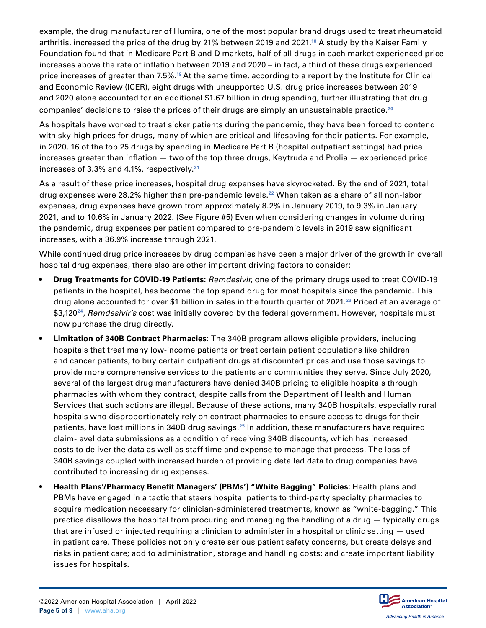example, the drug manufacturer of Humira, one of the most popular brand drugs used to treat rheumatoid arthritis, increased the price of the drug by 21% between 2019 and 2021.**<sup>18</sup>** A study by the Kaiser Family Foundation found that in Medicare Part B and D markets, half of all drugs in each market experienced price increases above the rate of inflation between 2019 and 2020 – in fact, a third of these drugs experienced price increases of greater than 7.5%.**<sup>19</sup>**At the same time, according to a report by the Institute for Clinical and Economic Review (ICER), eight drugs with unsupported U.S. drug price increases between 2019 and 2020 alone accounted for an additional \$1.67 billion in drug spending, further illustrating that drug companies' decisions to raise the prices of their drugs are simply an unsustainable practice.**<sup>20</sup>**

As hospitals have worked to treat sicker patients during the pandemic, they have been forced to contend with sky-high prices for drugs, many of which are critical and lifesaving for their patients. For example, in 2020, 16 of the top 25 drugs by spending in Medicare Part B (hospital outpatient settings) had price increases greater than inflation — two of the top three drugs, Keytruda and Prolia — experienced price increases of 3.3% and 4.1%, respectively.**<sup>21</sup>**

As a result of these price increases, hospital drug expenses have skyrocketed. By the end of 2021, total drug expenses were 28.2% higher than pre-pandemic levels.**<sup>22</sup>** When taken as a share of all non-labor expenses, drug expenses have grown from approximately 8.2% in January 2019, to 9.3% in January 2021, and to 10.6% in January 2022. (See Figure #5) Even when considering changes in volume during the pandemic, drug expenses per patient compared to pre-pandemic levels in 2019 saw significant increases, with a 36.9% increase through 2021.

While continued drug price increases by drug companies have been a major driver of the growth in overall hospital drug expenses, there also are other important driving factors to consider:

- **• Drug Treatments for COVID-19 Patients:** *Remdesivir*, one of the primary drugs used to treat COVID-19 patients in the hospital, has become the top spend drug for most hospitals since the pandemic. This drug alone accounted for over \$1 billion in sales in the fourth quarter of 2021.**<sup>23</sup>** Priced at an average of \$3,120**<sup>24</sup>**, *Remdesivir's* cost was initially covered by the federal government. However, hospitals must now purchase the drug directly.
- **• Limitation of 340B Contract Pharmacies:** The 340B program allows eligible providers, including hospitals that treat many low-income patients or treat certain patient populations like children and cancer patients, to buy certain outpatient drugs at discounted prices and use those savings to provide more comprehensive services to the patients and communities they serve. Since July 2020, several of the largest drug manufacturers have denied 340B pricing to eligible hospitals through pharmacies with whom they contract, despite calls from the Department of Health and Human Services that such actions are illegal. Because of these actions, many 340B hospitals, especially rural hospitals who disproportionately rely on contract pharmacies to ensure access to drugs for their patients, have lost millions in 340B drug savings.**<sup>25</sup>** In addition, these manufacturers have required claim-level data submissions as a condition of receiving 340B discounts, which has increased costs to deliver the data as well as staff time and expense to manage that process. The loss of 340B savings coupled with increased burden of providing detailed data to drug companies have contributed to increasing drug expenses.
- **• Health Plans'/Pharmacy Benefit Managers' (PBMs') "White Bagging" Policies:** Health plans and PBMs have engaged in a tactic that steers hospital patients to third-party specialty pharmacies to acquire medication necessary for clinician-administered treatments, known as "white-bagging." This practice disallows the hospital from procuring and managing the handling of a drug — typically drugs that are infused or injected requiring a clinician to administer in a hospital or clinic setting — used in patient care. These policies not only create serious patient safety concerns, but create delays and risks in patient care; add to administration, storage and handling costs; and create important liability issues for hospitals.

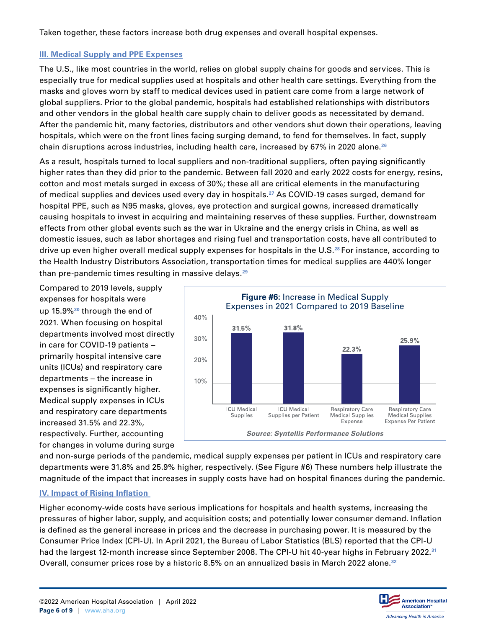<span id="page-5-0"></span>Taken together, these factors increase both drug expenses and overall hospital expenses.

## **III. Medical Supply and PPE Expenses**

The U.S., like most countries in the world, relies on global supply chains for goods and services. This is especially true for medical supplies used at hospitals and other health care settings. Everything from the masks and gloves worn by staff to medical devices used in patient care come from a large network of global suppliers. Prior to the global pandemic, hospitals had established relationships with distributors and other vendors in the global health care supply chain to deliver goods as necessitated by demand. After the pandemic hit, many factories, distributors and other vendors shut down their operations, leaving hospitals, which were on the front lines facing surging demand, to fend for themselves. In fact, supply chain disruptions across industries, including health care, increased by 67% in 2020 alone.**<sup>26</sup>**

As a result, hospitals turned to local suppliers and non-traditional suppliers, often paying significantly higher rates than they did prior to the pandemic. Between fall 2020 and early 2022 costs for energy, resins, cotton and most metals surged in excess of 30%; these all are critical elements in the manufacturing of medical supplies and devices used every day in hospitals.**<sup>27</sup>** As COVID-19 cases surged, demand for hospital PPE, such as N95 masks, gloves, eye protection and surgical gowns, increased dramatically causing hospitals to invest in acquiring and maintaining reserves of these supplies. Further, downstream effects from other global events such as the war in Ukraine and the energy crisis in China, as well as domestic issues, such as labor shortages and rising fuel and transportation costs, have all contributed to drive up even higher overall medical supply expenses for hospitals in the U.S.**<sup>28</sup>**For instance, according to the Health Industry Distributors Association, transportation times for medical supplies are 440% longer than pre-pandemic times resulting in massive delays.**<sup>29</sup>**

Compared to 2019 levels, supply expenses for hospitals were up 15.9%**<sup>30</sup>** through the end of 2021. When focusing on hospital departments involved most directly in care for COVID-19 patients − primarily hospital intensive care units (ICUs) and respiratory care departments − the increase in expenses is significantly higher. Medical supply expenses in ICUs and respiratory care departments increased 31.5% and 22.3%, respectively. Further, accounting for changes in volume during surge



and non-surge periods of the pandemic, medical supply expenses per patient in ICUs and respiratory care departments were 31.8% and 25.9% higher, respectively. (See Figure #6) These numbers help illustrate the magnitude of the impact that increases in supply costs have had on hospital finances during the pandemic.

# **IV. Impact of Rising Inflation**

Higher economy-wide costs have serious implications for hospitals and health systems, increasing the pressures of higher labor, supply, and acquisition costs; and potentially lower consumer demand. Inflation is defined as the general increase in prices and the decrease in purchasing power. It is measured by the Consumer Price Index (CPI-U). In April 2021, the Bureau of Labor Statistics (BLS) reported that the CPI-U had the largest 12-month increase since September 2008. The CPI-U hit 40-year highs in February 2022.**<sup>31</sup>** Overall, consumer prices rose by a historic 8.5% on an annualized basis in March 2022 alone.**<sup>32</sup>**

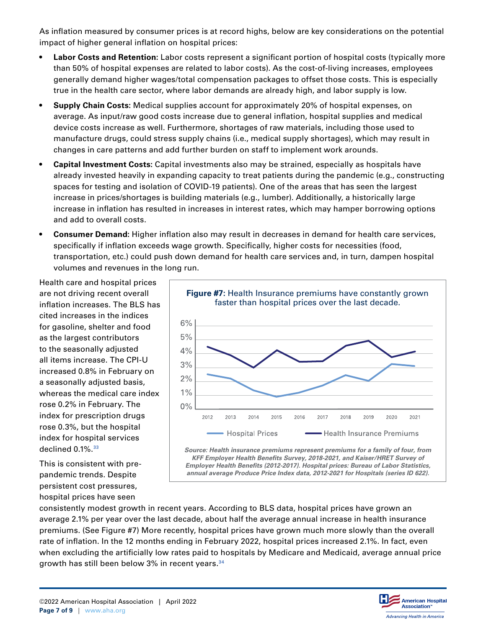<span id="page-6-0"></span>As inflation measured by consumer prices is at record highs, below are key considerations on the potential impact of higher general inflation on hospital prices:

- **• Labor Costs and Retention:** Labor costs represent a significant portion of hospital costs (typically more than 50% of hospital expenses are related to labor costs). As the cost-of-living increases, employees generally demand higher wages/total compensation packages to offset those costs. This is especially true in the health care sector, where labor demands are already high, and labor supply is low.
- **• Supply Chain Costs:** Medical supplies account for approximately 20% of hospital expenses, on average. As input/raw good costs increase due to general inflation, hospital supplies and medical device costs increase as well. Furthermore, shortages of raw materials, including those used to manufacture drugs, could stress supply chains (i.e., medical supply shortages), which may result in changes in care patterns and add further burden on staff to implement work arounds.
- **• Capital Investment Costs:** Capital investments also may be strained, especially as hospitals have already invested heavily in expanding capacity to treat patients during the pandemic (e.g., constructing spaces for testing and isolation of COVID-19 patients). One of the areas that has seen the largest increase in prices/shortages is building materials (e.g., lumber). Additionally, a historically large increase in inflation has resulted in increases in interest rates, which may hamper borrowing options and add to overall costs.
- **• Consumer Demand:** Higher inflation also may result in decreases in demand for health care services, specifically if inflation exceeds wage growth. Specifically, higher costs for necessities (food, transportation, etc.) could push down demand for health care services and, in turn, dampen hospital volumes and revenues in the long run.

Health care and hospital prices are not driving recent overall inflation increases. The BLS has cited increases in the indices for gasoline, shelter and food as the largest contributors to the seasonally adjusted all items increase. The CPI-U increased 0.8% in February on a seasonally adjusted basis, whereas the medical care index rose 0.2% in February. The index for prescription drugs rose 0.3%, but the hospital index for hospital services declined 0.1%.**<sup>33</sup>**

This is consistent with prepandemic trends. Despite persistent cost pressures, hospital prices have seen



*Source: Health insurance premiums represent premiums for a family of four, from KFF Employer Health Benefits Survey, 2018-2021, and Kaiser/HRET Survey of Employer Health Benefits (2012-2017). Hospital prices: Bureau of Labor Statistics, annual average Produce Price Index data, 2012-2021 for Hospitals (series ID 622).*

consistently modest growth in recent years. According to BLS data, hospital prices have grown an average 2.1% per year over the last decade, about half the average annual increase in health insurance premiums. (See Figure #7) More recently, hospital prices have grown much more slowly than the overall rate of inflation. In the 12 months ending in February 2022, hospital prices increased 2.1%. In fact, even when excluding the artificially low rates paid to hospitals by Medicare and Medicaid, average annual price growth has still been below 3% in recent years.**<sup>34</sup>**

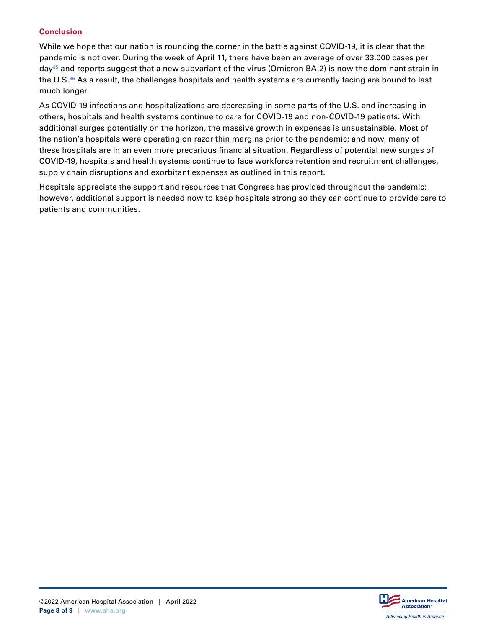### **Conclusion**

While we hope that our nation is rounding the corner in the battle against COVID-19, it is clear that the pandemic is not over. During the week of April 11, there have been an average of over 33,000 cases per day**<sup>35</sup>** and reports suggest that a new subvariant of the virus (Omicron BA.2) is now the dominant strain in the U.S.**<sup>36</sup>** As a result, the challenges hospitals and health systems are currently facing are bound to last much longer.

As COVID-19 infections and hospitalizations are decreasing in some parts of the U.S. and increasing in others, hospitals and health systems continue to care for COVID-19 and non-COVID-19 patients. With additional surges potentially on the horizon, the massive growth in expenses is unsustainable. Most of the nation's hospitals were operating on razor thin margins prior to the pandemic; and now, many of these hospitals are in an even more precarious financial situation. Regardless of potential new surges of COVID-19, hospitals and health systems continue to face workforce retention and recruitment challenges, supply chain disruptions and exorbitant expenses as outlined in this report.

Hospitals appreciate the support and resources that Congress has provided throughout the pandemic; however, additional support is needed now to keep hospitals strong so they can continue to provide care to patients and communities.